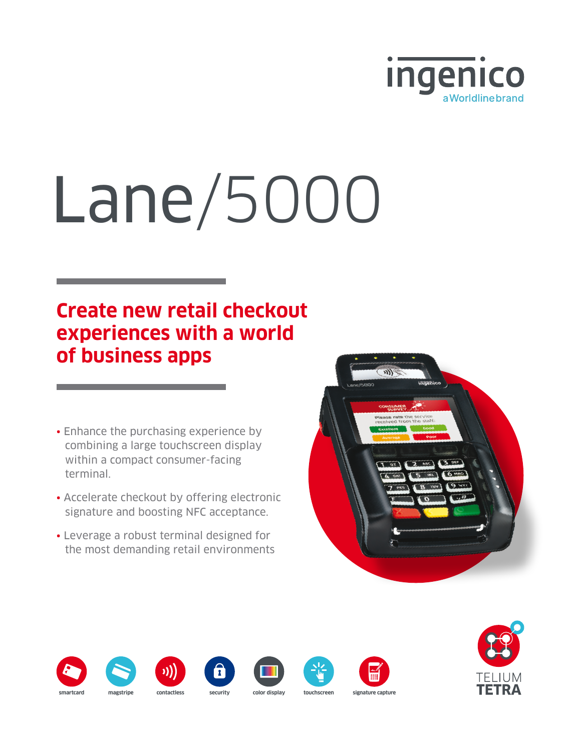

# Lane/5000

## **Create new retail checkout experiences with a world of business apps**

- Enhance the purchasing experience by combining a large touchscreen display within a compact consumer-facing terminal.
- Accelerate checkout by offering electronic signature and boosting NFC acceptance.
- Leverage a robust terminal designed for the most demanding retail environments